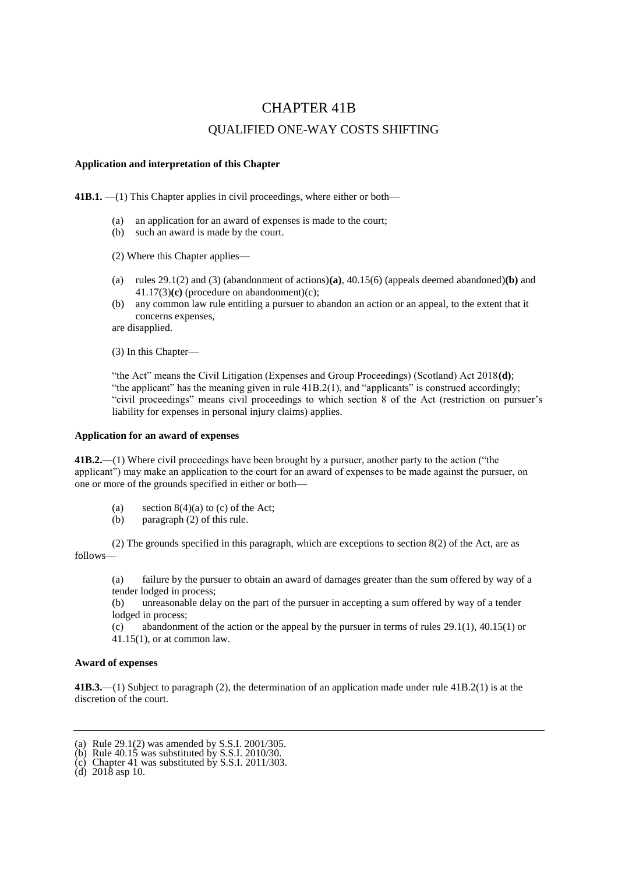# CHAPTER 41B

## QUALIFIED ONE-WAY COSTS SHIFTING

### **Application and interpretation of this Chapter**

**41B.1.** —(1) This Chapter applies in civil proceedings, where either or both—

- (a) an application for an award of expenses is made to the court;
- (b) such an award is made by the court.

(2) Where this Chapter applies—

- (a) rules 29.1(2) and (3) (abandonment of actions)**(a)**, 40.15(6) (appeals deemed abandoned)**(b)** and 41.17(3)**(c)** (procedure on abandonment)(c);
- (b) any common law rule entitling a pursuer to abandon an action or an appeal, to the extent that it concerns expenses,

are disapplied.

(3) In this Chapter—

"the Act" means the Civil Litigation (Expenses and Group Proceedings) (Scotland) Act 2018**(d)**; "the applicant" has the meaning given in rule  $41B.2(1)$ , and "applicants" is construed accordingly; "civil proceedings" means civil proceedings to which section 8 of the Act (restriction on pursuer's liability for expenses in personal injury claims) applies.

#### **Application for an award of expenses**

**41B.2.**—(1) Where civil proceedings have been brought by a pursuer, another party to the action ("the applicant") may make an application to the court for an award of expenses to be made against the pursuer, on one or more of the grounds specified in either or both—

- (a) section  $8(4)(a)$  to (c) of the Act;
- (b) paragraph (2) of this rule.

(2) The grounds specified in this paragraph, which are exceptions to section 8(2) of the Act, are as follows—

(a) failure by the pursuer to obtain an award of damages greater than the sum offered by way of a tender lodged in process;

(b) unreasonable delay on the part of the pursuer in accepting a sum offered by way of a tender lodged in process;

(c) abandonment of the action or the appeal by the pursuer in terms of rules  $29.1(1)$ ,  $40.15(1)$  or 41.15(1), or at common law.

## **Award of expenses**

**41B.3.**—(1) Subject to paragraph (2), the determination of an application made under rule 41B.2(1) is at the discretion of the court.

(d) 2018 asp 10.

<sup>(</sup>a) Rule 29.1(2) was amended by S.S.I. 2001/305.

<sup>(</sup>b) Rule  $40.15$  was substituted by S.S.I. 2010/30.

 $(c)$  Chapter 41 was substituted by S.S.I. 2011/303.